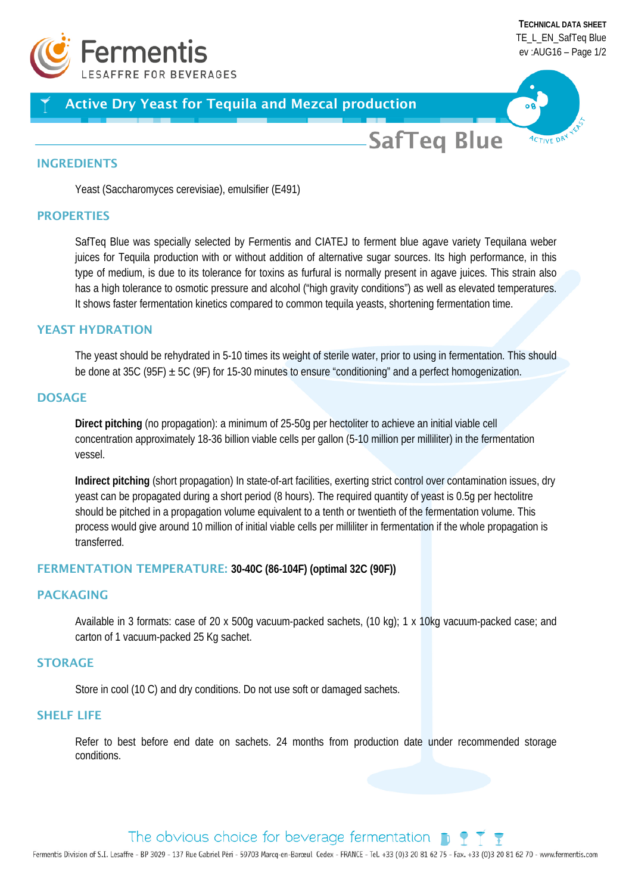

# Active Dry Yeast for Tequila and Mezcal production

**SafTeg Blue** 

#### INGREDIENTS

Yeast (Saccharomyces cerevisiae), emulsifier (E491)

### **PROPERTIES**

SafTeq Blue was specially selected by Fermentis and CIATEJ to ferment blue agave variety Tequilana weber juices for Tequila production with or without addition of alternative sugar sources. Its high performance, in this type of medium, is due to its tolerance for toxins as furfural is normally present in agave juices. This strain also has a high tolerance to osmotic pressure and alcohol ("high gravity conditions") as well as elevated temperatures. It shows faster fermentation kinetics compared to common tequila yeasts, shortening fermentation time.

#### YEAST HYDRATION

The yeast should be rehydrated in 5-10 times its weight of sterile water, prior to using in fermentation. This should be done at 35C (95F)  $\pm$  5C (9F) for 15-30 minutes to ensure "conditioning" and a perfect homogenization.

### **DOSAGE**

**Direct pitching** (no propagation): a minimum of 25-50g per hectoliter to achieve an initial viable cell concentration approximately 18-36 billion viable cells per gallon (5-10 million per milliliter) in the fermentation vessel.

**Indirect pitching** (short propagation) In state-of-art facilities, exerting strict control over contamination issues, dry yeast can be propagated during a short period (8 hours). The required quantity of yeast is 0.5g per hectolitre should be pitched in a propagation volume equivalent to a tenth or twentieth of the fermentation volume. This process would give around 10 million of initial viable cells per milliliter in fermentation if the whole propagation is transferred.

### FERMENTATION TEMPERATURE: **30-40C (86-104F) (optimal 32C (90F))**

### PACKAGING

Available in 3 formats: case of 20 x 500g vacuum-packed sachets, (10 kg); 1 x 10kg vacuum-packed case; and carton of 1 vacuum-packed 25 Kg sachet.

### **STORAGE**

Store in cool (10 C) and dry conditions. Do not use soft or damaged sachets.

#### SHELF LIFE

Refer to best before end date on sachets. 24 months from production date under recommended storage conditions.

# The obvious choice for beverage fermentation  $\Box$

Fermentis Division of S.I. Lesaffre - BP 3029 - 137 Rue Gabriel Péri - 59703 Marcq-en-Barceul Cedex - FRANCE - Tel. +33 (0)3 20 81 62 75 - Fax. +33 (0)3 20 81 62 70 - www.fermentis.com